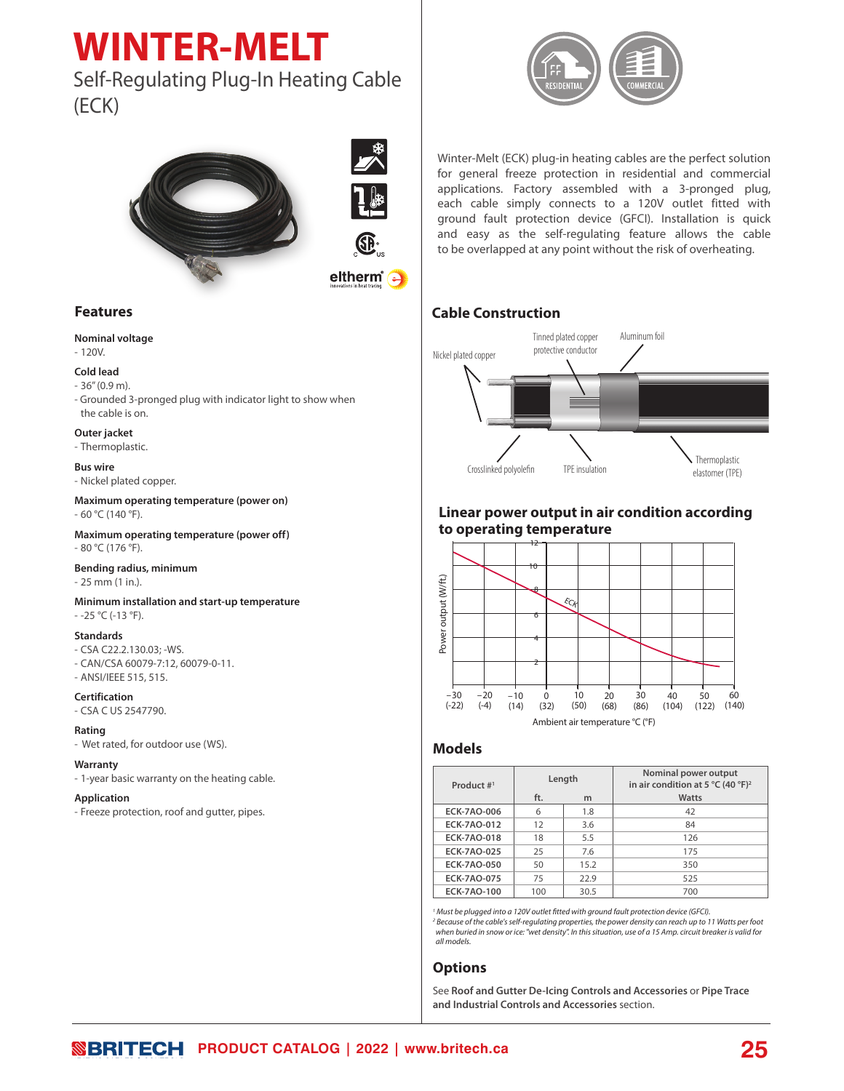# **WINTER-MELT**

# Self-Regulating Plug-In Heating Cable (ECK)



# **Features**

#### **Nominal voltage**

- 120V.

#### **Cold lead**

- 36'' (0.9 m).
- Grounded 3-pronged plug with indicator light to show when the cable is on.

#### **Outer jacket**

- Thermoplastic.

#### **Bus wire**

- Nickel plated copper.

**Maximum operating temperature (power on)**  - 60 °C (140 °F).

**Maximum operating temperature (power off)**  - 80 °C (176 °F).

#### **Bending radius, minimum**

- 25 mm (1 in.).

**Minimum installation and start-up temperature**  - -25 °C (-13 °F).

#### **Standards**

- CSA C22.2.130.03; -WS.
- CAN/CSA 60079-7:12, 60079-0-11.
- ANSI/IEEE 515, 515.

#### **Certification**

- CSA C US 2547790.

#### **Rating**

- Wet rated, for outdoor use (WS).

#### **Warranty**

- 1-year basic warranty on the heating cable.

#### **Application**

- Freeze protection, roof and gutter, pipes.



Winter-Melt (ECK) plug-in heating cables are the perfect solution for general freeze protection in residential and commercial applications. Factory assembled with a 3-pronged plug, each cable simply connects to a 120V outlet fitted with ground fault protection device (GFCI). Installation is quick and easy as the self-regulating feature allows the cable to be overlapped at any point without the risk of overheating.

# **Cable Construction**



# **Linear power output in air condition according to operating temperature**



# **Models**

| Product #1         | Length |      | Nominal power output<br>in air condition at 5 °C (40 °F) <sup>2</sup> |  |  |
|--------------------|--------|------|-----------------------------------------------------------------------|--|--|
|                    | ft.    | m    | Watts                                                                 |  |  |
| <b>ECK-7AO-006</b> | 6      | 1.8  | 42                                                                    |  |  |
| ECK-7AO-012        | 12     | 3.6  | 84                                                                    |  |  |
| <b>ECK-7AO-018</b> | 18     | 5.5  | 126                                                                   |  |  |
| <b>ECK-7AO-025</b> | 25     | 7.6  | 175                                                                   |  |  |
| <b>ECK-7AO-050</b> | 50     | 15.2 | 350                                                                   |  |  |
| <b>ECK-7AO-075</b> | 75     | 22.9 | 525                                                                   |  |  |
| <b>ECK-7AO-100</b> | 100    | 30.5 | 700                                                                   |  |  |

<sup>1</sup> Must be plugged into a 120V outlet fitted with ground fault protection device (GFCI). *2 Because of the cable's self-regulating properties, the power density can reach up to 11 Watts per foot when buried in snow or ice: "wet density". In this situation, use of a 15 Amp. circuit breaker is valid for all models.*

# **Options**

See **Roof and Gutter De-Icing Controls and Accessories** or **Pipe Trace and Industrial Controls and Accessories** section.